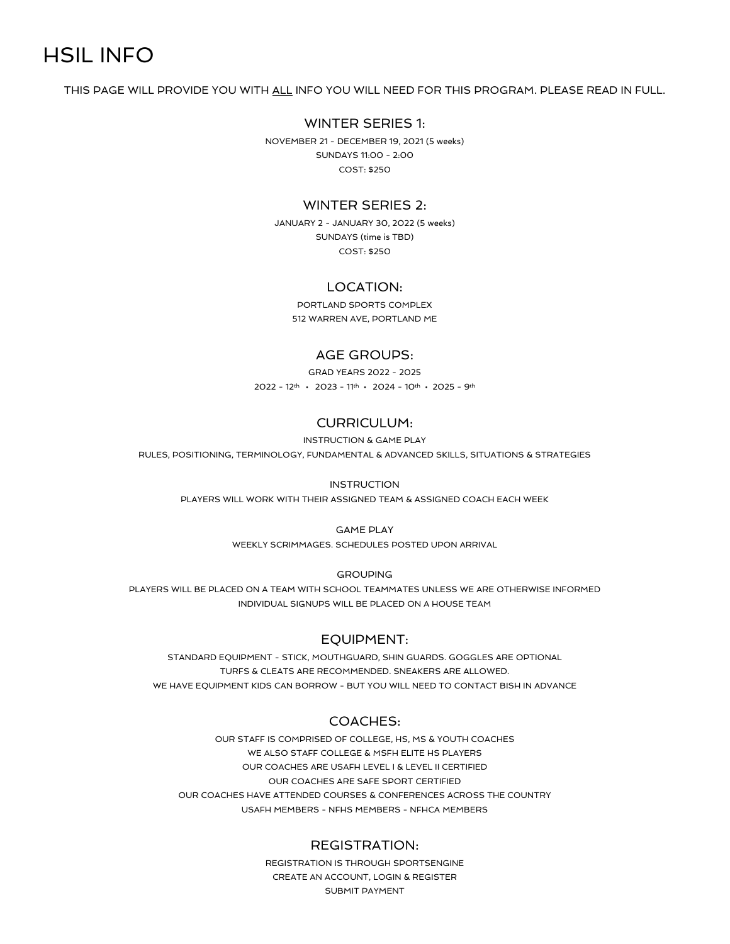# HSIL INFO

THIS PAGE WILL PROVIDE YOU WITH ALL INFO YOU WILL NEED FOR THIS PROGRAM. PLEASE READ IN FULL.

# WINTER SERIES 1:

NOVEMBER 21 - DECEMBER 19, 2021 (5 weeks) SUNDAYS 11:00 - 2:00 COST: \$250

# WINTER SERIES 2:

JANUARY 2 - JANUARY 30, 2022 (5 weeks) SUNDAYS (time is TBD) COST: \$250

## LOCATION:

PORTLAND SPORTS COMPLEX 512 WARREN AVE, PORTLAND ME

#### AGE GROUPS:

GRAD YEARS 2022 - 2025 2022 - 12th • 2023 - 11th • 2024 - 10th • 2025 - 9th

# CURRICULUM:

INSTRUCTION & GAME PLAY

RULES, POSITIONING, TERMINOLOGY, FUNDAMENTAL & ADVANCED SKILLS, SITUATIONS & STRATEGIES

#### **INSTRUCTION**

PLAYERS WILL WORK WITH THEIR ASSIGNED TEAM & ASSIGNED COACH EACH WEEK

#### GAME PLAY

WEEKLY SCRIMMAGES. SCHEDULES POSTED UPON ARRIVAL

GROUPING

PLAYERS WILL BE PLACED ON A TEAM WITH SCHOOL TEAMMATES UNLESS WE ARE OTHERWISE INFORMED INDIVIDUAL SIGNUPS WILL BE PLACED ON A HOUSE TEAM

## EQUIPMENT:

STANDARD EQUIPMENT - STICK, MOUTHGUARD, SHIN GUARDS. GOGGLES ARE OPTIONAL TURFS & CLEATS ARE RECOMMENDED. SNEAKERS ARE ALLOWED. WE HAVE EQUIPMENT KIDS CAN BORROW - BUT YOU WILL NEED TO CONTACT BISH IN ADVANCE

# COACHES:

OUR STAFF IS COMPRISED OF COLLEGE, HS, MS & YOUTH COACHES WE ALSO STAFF COLLEGE & MSFH ELITE HS PLAYERS OUR COACHES ARE USAFH LEVEL I & LEVEL II CERTIFIED OUR COACHES ARE SAFE SPORT CERTIFIED OUR COACHES HAVE ATTENDED COURSES & CONFERENCES ACROSS THE COUNTRY USAFH MEMBERS - NFHS MEMBERS - NFHCA MEMBERS

#### REGISTRATION:

REGISTRATION IS THROUGH SPORTSENGINE CREATE AN ACCOUNT, LOGIN & REGISTER SUBMIT PAYMENT